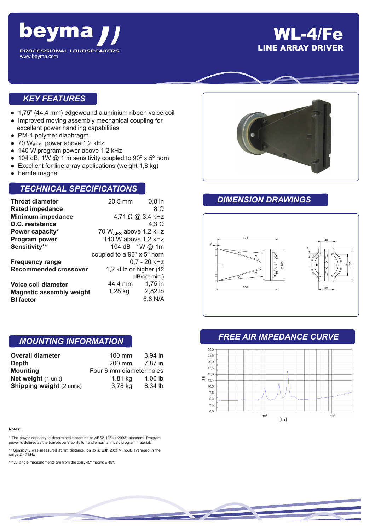

## WL-4/Fe LINE ARRAY DRIVER

### *KEY FEATURES*

- 1,75" (44,4 mm) edgewound aluminium ribbon voice coil
- Improved moving assembly mechanical coupling for excellent power handling capabilities
- PM-4 polymer diaphragm
- 70 WAES power above 1,2 kHz
- 140 W program power above 1,2 kHz
- 104 dB, 1W  $@$  1 m sensitivity coupled to 90 $\degree$  x 5 $\degree$  horn
- Excellent for line array applications (weight 1,8 kg)
- Ferrite magnet

### *TECHNICAL SPECIFICATIONS*

| <b>Throat diameter</b>          | 20,5 mm                    | $0,8$ in     |
|---------------------------------|----------------------------|--------------|
| <b>Rated impedance</b>          |                            | 8 O          |
| <b>Minimum impedance</b>        | 4,71 Ω @ 3,4 kHz           |              |
| D.C. resistance                 |                            | 4.3 $\Omega$ |
| Power capacity*                 | 70 $W_{AFS}$ above 1,2 kHz |              |
| Program power                   | 140 W above 1,2 kHz        |              |
| Sensitivity**                   | 104 dB 1W @ 1m             |              |
|                                 | coupled to a 90° x 5° horn |              |
| <b>Frequency range</b>          | 0,7 - 20 kHz               |              |
| <b>Recommended crossover</b>    | 1,2 kHz or higher (12      |              |
|                                 |                            | dB/oct min.) |
| Voice coil diameter             | 44.4 mm                    | 1,75 in      |
| <b>Magnetic assembly weight</b> | 1,28 kg                    | 2,82 lb      |
| <b>BI</b> factor                |                            | 6.6 N/A      |

### *MOUNTING INFORMATION*

| <b>Overall diameter</b>          | $100$ mm                 | $3.94$ in |
|----------------------------------|--------------------------|-----------|
| Depth                            | 200 mm                   | 7.87 in   |
| <b>Mounting</b>                  | Four 6 mm diameter holes |           |
| Net weight (1 unit)              | 1,81 kg                  | 4,00 $lb$ |
| <b>Shipping weight (2 units)</b> | 3,78 kg                  | 8,34 lb   |

#### **Notes**:

\* The power capaticty is determined according to AES2-1984 (r2003) standard. Program power is defined as the transducer's ability to handle normal music program material.

\*\* Sensitivity was measured at 1m distance, on axis, with 2,83 V input, averaged in the range 2 - 7 kHz.

\*\*\* All angle measurements are from the axis, 45° means ± 45°.



### *DIMENSION DRAWINGS*



### *FREE AIR IMPEDANCE CURVE*